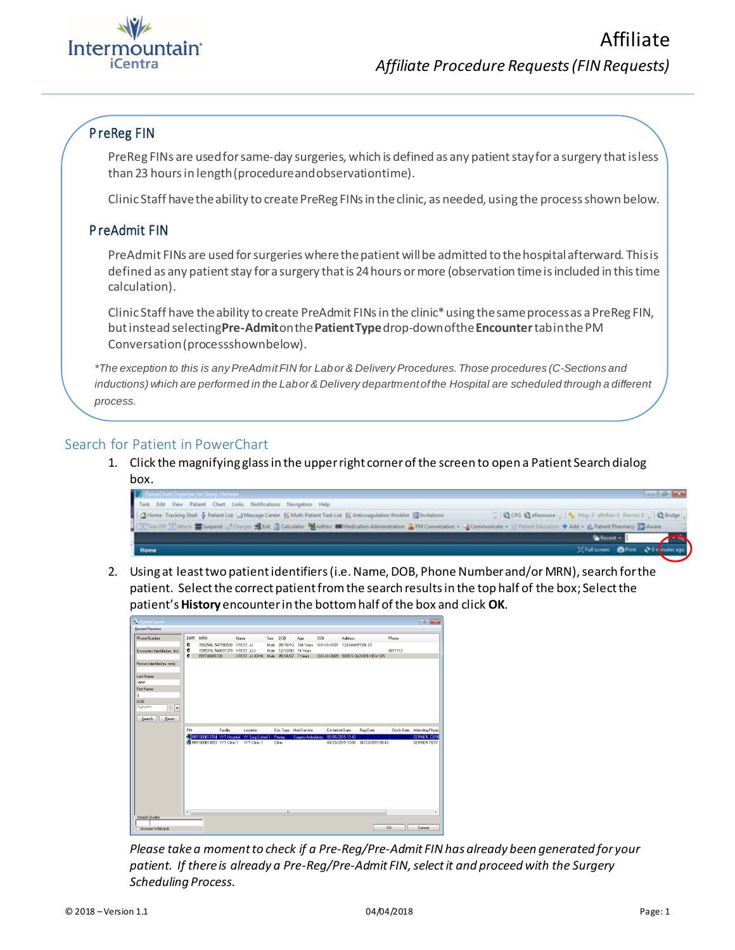

## P reReg FIN

PreReg FINs are used for same-day surgeries, which is defined as any patient stay for a surgery that is less than 23 hoursin length(procedureandobservationtime).

Clinic Staff have the ability to create PreReg FINs in the clinic, as needed, using the process shown below.

## P reAdmit FIN

PreAdmit FINs are used for surgeries where the patient will be admitted to the hospital afterward. This is defined as any patient stay for a surgery that is 24 hours or more (observation time is included in this time calculation).

Clinic Staff have the ability to create PreAdmit FINs in the clinic\* using the same process as a PreReg FIN, butinstead selecting**Pre-Admit**onthe**PatientType**drop-downofthe**Encounter**tabinthePM Conversation(processshownbelow).

*\*The exception to this is anyPreAdmitFIN for Labor & Delivery Procedures. Those procedures (C-Sections and inductions) which are performed in the Labor & Delivery department of the Hospital are scheduled through a different process.*

## Search for Patient in PowerChart

1. Click the magnifying glass in the upper right corner of the screen to open a Patient Search dialog box.

| P. BowerChart Dramium for Sharp, Herman                          |                                                                                                                                                                                        | <b>Incordinate India</b>                                |
|------------------------------------------------------------------|----------------------------------------------------------------------------------------------------------------------------------------------------------------------------------------|---------------------------------------------------------|
| Task Edit View Patient Chart Links Notifications Navigation Help |                                                                                                                                                                                        |                                                         |
|                                                                  | 1 3 Home Tracking Shell of Patient List : 1 Message Center 15 Multi-Patient Task List 15 Anticoagulation Workfut 33 Invitations                                                        | CCPG Q eResource   5 Map 9 shokes 0 Family 0 1 2 Bridge |
|                                                                  | EXPTest Off School Manual Monger of Disrue of Dit Colorador Madrid Ministerion Administration & PM Conversation + Communicate + Patient Insurance + Add + () Patient Pharmacy C Wavare |                                                         |
|                                                                  |                                                                                                                                                                                        | <b>Ga Recent +</b>                                      |
| Home                                                             |                                                                                                                                                                                        | OF Full screen <b>Di</b> Print 20 in instes ago         |
|                                                                  |                                                                                                                                                                                        |                                                         |

2. Using at least two patient identifiers (i.e. Name, DOB, Phone Number and/or MRN), search for the patient. Select the correct patient from the search results in the top half of the box; Select the patient's **History** encounter in the bottom half of the box and click **OK**.

| Patient Search                                      |                     |                                                                             |                |      |                       |                                              |                  |                                                    |         | $\frac{2}{x}$               |
|-----------------------------------------------------|---------------------|-----------------------------------------------------------------------------|----------------|------|-----------------------|----------------------------------------------|------------------|----------------------------------------------------|---------|-----------------------------|
| <b>Recent Persons</b>                               |                     |                                                                             |                |      |                       |                                              |                  |                                                    |         |                             |
| Phone Number:                                       | EMPI MRN            |                                                                             | Name           | Sex  | DOB                   | Age                                          | SSN              | Address                                            | Phone   |                             |
| Encounter Identifier(ex. fin):                      | ø<br>ø<br>$\bullet$ | 7092546: 547790930 XTEST.JJ<br>7295316: 548031379 XTEST JJJJ<br>RRT00005728 | XTEST. JJ JOHN | Male | Male 05/24/07 7 Years | 09/18/10 104 Years<br>Male 12/12/00 14 Years | XXXX-0101        | 126 HAMPTON ST<br>XXXXX-0009 5065 S CLOVER VIEW DR | 8011112 |                             |
| Person Identifier(ex. mm)                           |                     |                                                                             |                |      |                       |                                              |                  |                                                    |         |                             |
| Last Name:<br>stest                                 |                     |                                                                             |                |      |                       |                                              |                  |                                                    |         |                             |
| First Name:                                         |                     |                                                                             |                |      |                       |                                              |                  |                                                    |         |                             |
| ï                                                   |                     |                                                                             |                |      |                       |                                              |                  |                                                    |         |                             |
| DOB:                                                |                     |                                                                             |                |      |                       |                                              |                  |                                                    |         |                             |
| $rac{1}{\sqrt{2}}$<br>$m \mu\nu \rho \sigma \sigma$ |                     |                                                                             |                |      |                       |                                              |                  |                                                    |         |                             |
| Search<br>Reset                                     |                     |                                                                             |                |      |                       |                                              |                  |                                                    |         |                             |
|                                                     | FIN                 | Facility                                                                    | Location       |      |                       | Enc Type Med Service                         | Est Arrival Date | Reg Date                                           |         | Disch Date Attending Physic |
|                                                     |                     | CORRECO 0013764 YVT Hospital YY Surg Sched 1                                |                |      | Prereg                | Surgery Ambulatory                           |                  | 05/05/2015 11:43                                   |         | <b>CERNER, CERN</b>         |
|                                                     |                     | St RRT000013653 YYT Clinic 1 YYT Clinic 1                                   |                |      | Clinic                |                                              |                  | 04/23/2015 13:00  04/23/2015 08:43                 |         | CERNER TEST                 |
|                                                     | $\leftarrow$        |                                                                             |                |      | $^{\rm III}$          |                                              |                  |                                                    |         | $\mathbb{R}^+$              |
| Search Quality                                      |                     |                                                                             |                |      |                       |                                              |                  |                                                    |         |                             |
| Assume Wildcards                                    |                     |                                                                             |                |      |                       |                                              |                  |                                                    | 0K      | Cancel                      |

*Please take a moment to check if a Pre-Reg/Pre-Admit FIN has already been generated for your patient. If there is already a Pre-Reg/Pre-Admit FIN, select it and proceed with the Surgery Scheduling Process.*